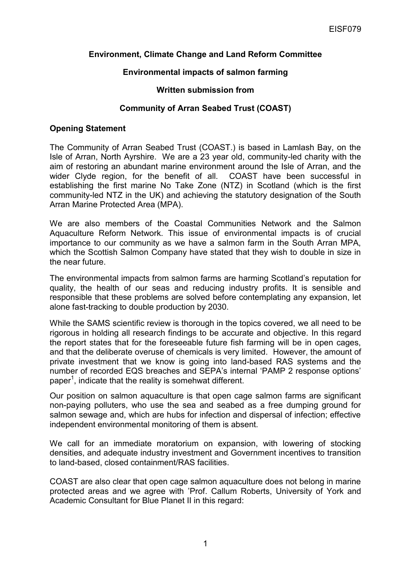## **Environment, Climate Change and Land Reform Committee**

## **Environmental impacts of salmon farming**

#### **Written submission from**

# **Community of Arran Seabed Trust (COAST)**

#### **Opening Statement**

The Community of Arran Seabed Trust (COAST.) is based in Lamlash Bay, on the Isle of Arran, North Ayrshire. We are a 23 year old, community-led charity with the aim of restoring an abundant marine environment around the Isle of Arran, and the wider Clyde region, for the benefit of all. COAST have been successful in establishing the first marine No Take Zone (NTZ) in Scotland (which is the first community-led NTZ in the UK) and achieving the statutory designation of the South Arran Marine Protected Area (MPA).

We are also members of the Coastal Communities Network and the Salmon Aquaculture Reform Network. This issue of environmental impacts is of crucial importance to our community as we have a salmon farm in the South Arran MPA, which the Scottish Salmon Company have stated that they wish to double in size in the near future.

The environmental impacts from salmon farms are harming Scotland's reputation for quality, the health of our seas and reducing industry profits. It is sensible and responsible that these problems are solved before contemplating any expansion, let alone fast-tracking to double production by 2030.

While the SAMS scientific review is thorough in the topics covered, we all need to be rigorous in holding all research findings to be accurate and objective. In this regard the report states that for the foreseeable future fish farming will be in open cages, and that the deliberate overuse of chemicals is very limited. However, the amount of private investment that we know is going into land-based RAS systems and the number of recorded EQS breaches and SEPA's internal 'PAMP 2 response options' paper<sup>1</sup>, indicate that the reality is somehwat different.

Our position on salmon aquaculture is that open cage salmon farms are significant non-paying polluters, who use the sea and seabed as a free dumping ground for salmon sewage and, which are hubs for infection and dispersal of infection; effective independent environmental monitoring of them is absent.

We call for an immediate moratorium on expansion, with lowering of stocking densities, and adequate industry investment and Government incentives to transition to land-based, closed containment/RAS facilities.

COAST are also clear that open cage salmon aquaculture does not belong in marine protected areas and we agree with 'Prof. Callum Roberts, University of York and Academic Consultant for Blue Planet II in this regard: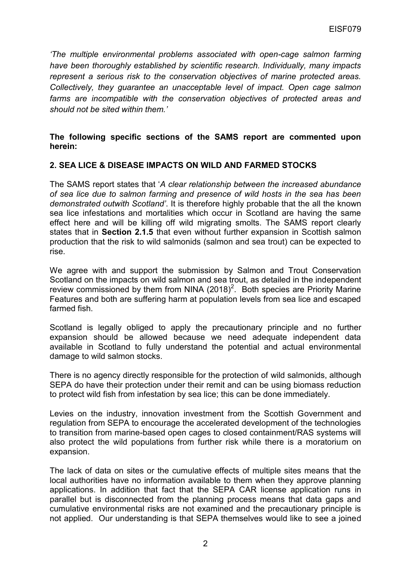*'The multiple environmental problems associated with open-cage salmon farming have been thoroughly established by scientific research. Individually, many impacts represent a serious risk to the conservation objectives of marine protected areas. Collectively, they guarantee an unacceptable level of impact. Open cage salmon farms are incompatible with the conservation objectives of protected areas and should not be sited within them.'*

### **The following specific sections of the SAMS report are commented upon herein:**

### **2. SEA LICE & DISEASE IMPACTS ON WILD AND FARMED STOCKS**

The SAMS report states that '*A clear relationship between the increased abundance of sea lice due to salmon farming and presence of wild hosts in the sea has been demonstrated outwith Scotland'*. It is therefore highly probable that the all the known sea lice infestations and mortalities which occur in Scotland are having the same effect here and will be killing off wild migrating smolts. The SAMS report clearly states that in **Section 2.1.5** that even without further expansion in Scottish salmon production that the risk to wild salmonids (salmon and sea trout) can be expected to rise.

We agree with and support the submission by Salmon and Trout Conservation Scotland on the impacts on wild salmon and sea trout, as detailed in the independent review commissioned by them from NINA  $(2018)^2$ . Both species are Priority Marine Features and both are suffering harm at population levels from sea lice and escaped farmed fish.

Scotland is legally obliged to apply the precautionary principle and no further expansion should be allowed because we need adequate independent data available in Scotland to fully understand the potential and actual environmental damage to wild salmon stocks.

There is no agency directly responsible for the protection of wild salmonids, although SEPA do have their protection under their remit and can be using biomass reduction to protect wild fish from infestation by sea lice; this can be done immediately.

Levies on the industry, innovation investment from the Scottish Government and regulation from SEPA to encourage the accelerated development of the technologies to transition from marine-based open cages to closed containment/RAS systems will also protect the wild populations from further risk while there is a moratorium on expansion.

The lack of data on sites or the cumulative effects of multiple sites means that the local authorities have no information available to them when they approve planning applications. In addition that fact that the SEPA CAR license application runs in parallel but is disconnected from the planning process means that data gaps and cumulative environmental risks are not examined and the precautionary principle is not applied. Our understanding is that SEPA themselves would like to see a joined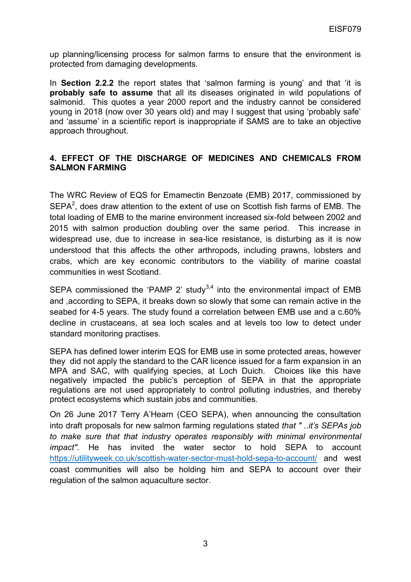up planning/licensing process for salmon farms to ensure that the environment is protected from damaging developments.

In **Section 2.2.2** the report states that 'salmon farming is young' and that 'it is **probably safe to assume** that all its diseases originated in wild populations of salmonid. This quotes a year 2000 report and the industry cannot be considered young in 2018 (now over 30 years old) and may I suggest that using 'probably safe' and 'assume' in a scientific report is inappropriate if SAMS are to take an objective approach throughout.

## **4. EFFECT OF THE DISCHARGE OF MEDICINES AND CHEMICALS FROM SALMON FARMING**

The WRC Review of EQS for Emamectin Benzoate (EMB) 2017, commissioned by  $SEPA<sup>2</sup>$ , does draw attention to the extent of use on Scottish fish farms of EMB. The total loading of EMB to the marine environment increased six-fold between 2002 and 2015 with salmon production doubling over the same period. This increase in widespread use, due to increase in sea-lice resistance, is disturbing as it is now understood that this affects the other arthropods, including prawns, lobsters and crabs, which are key economic contributors to the viability of marine coastal communities in west Scotland.

SEPA commissioned the 'PAMP 2' study<sup>3,4</sup> into the environmental impact of EMB and ,according to SEPA, it breaks down so slowly that some can remain active in the seabed for 4-5 years. The study found a correlation between EMB use and a c.60% decline in crustaceans, at sea loch scales and at levels too low to detect under standard monitoring practises.

SEPA has defined lower interim EQS for EMB use in some protected areas, however they did not apply the standard to the CAR licence issued for a farm expansion in an MPA and SAC, with qualifying species, at Loch Duich. Choices like this have negatively impacted the public's perception of SEPA in that the appropriate regulations are not used appropriately to control polluting industries, and thereby protect ecosystems which sustain jobs and communities.

On 26 June 2017 Terry A'Hearn (CEO SEPA), when announcing the consultation into draft proposals for new salmon farming regulations stated *that " ..it's SEPAs job to make sure that that industry operates responsibly with minimal environmental impact".* He has invited the water sector to hold SEPA to account <https://utilityweek.co.uk/scottish-water-sector-must-hold-sepa-to-account/> and west coast communities will also be holding him and SEPA to account over their regulation of the salmon aquaculture sector.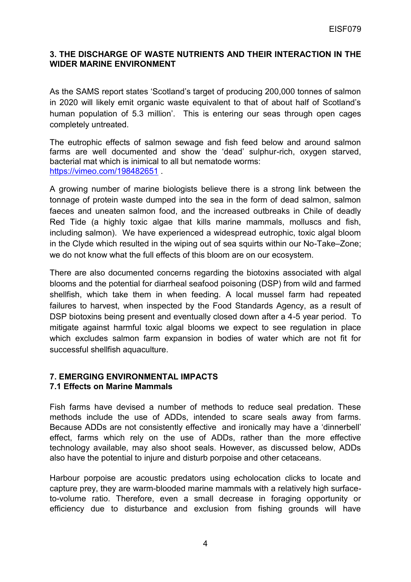### **3. THE DISCHARGE OF WASTE NUTRIENTS AND THEIR INTERACTION IN THE WIDER MARINE ENVIRONMENT**

As the SAMS report states 'Scotland's target of producing 200,000 tonnes of salmon in 2020 will likely emit organic waste equivalent to that of about half of Scotland's human population of 5.3 million'. This is entering our seas through open cages completely untreated.

The eutrophic effects of salmon sewage and fish feed below and around salmon farms are well documented and show the 'dead' sulphur-rich, oxygen starved, bacterial mat which is inimical to all but nematode worms: <https://vimeo.com/198482651>

A growing number of marine biologists believe there is a strong link between the tonnage of protein waste dumped into the sea in the form of dead salmon, salmon faeces and uneaten salmon food, and the increased outbreaks in Chile of deadly Red Tide (a highly toxic algae that kills marine mammals, molluscs and fish, including salmon). We have experienced a widespread eutrophic, toxic algal bloom in the Clyde which resulted in the wiping out of sea squirts within our No-Take–Zone; we do not know what the full effects of this bloom are on our ecosystem.

There are also documented concerns regarding the biotoxins associated with algal blooms and the potential for diarrheal seafood poisoning (DSP) from wild and farmed shellfish, which take them in when feeding. A local mussel farm had repeated failures to harvest, when inspected by the Food Standards Agency, as a result of DSP biotoxins being present and eventually closed down after a 4-5 year period. To mitigate against harmful toxic algal blooms we expect to see regulation in place which excludes salmon farm expansion in bodies of water which are not fit for successful shellfish aquaculture.

#### **7. EMERGING ENVIRONMENTAL IMPACTS 7.1 Effects on Marine Mammals**

Fish farms have devised a number of methods to reduce seal predation. These methods include the use of ADDs, intended to scare seals away from farms. Because ADDs are not consistently effective and ironically may have a 'dinnerbell' effect, farms which rely on the use of ADDs, rather than the more effective technology available, may also shoot seals. However, as discussed below, ADDs also have the potential to injure and disturb porpoise and other cetaceans.

Harbour porpoise are acoustic predators using echolocation clicks to locate and capture prey, they are warm-blooded marine mammals with a relatively high surfaceto-volume ratio. Therefore, even a small decrease in foraging opportunity or efficiency due to disturbance and exclusion from fishing grounds will have